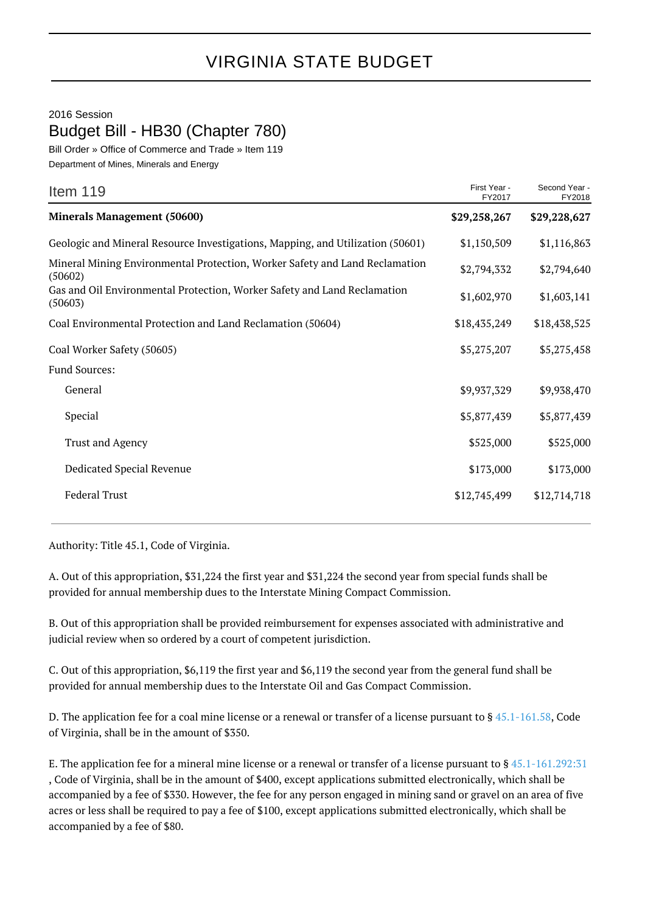## VIRGINIA STATE BUDGET

## 2016 Session Budget Bill - HB30 (Chapter 780)

Bill Order » Office of Commerce and Trade » Item 119

Department of Mines, Minerals and Energy

| Item 119                                                                               | First Year -<br>FY2017 | Second Year -<br>FY2018 |
|----------------------------------------------------------------------------------------|------------------------|-------------------------|
| <b>Minerals Management (50600)</b>                                                     | \$29,258,267           | \$29,228,627            |
| Geologic and Mineral Resource Investigations, Mapping, and Utilization (50601)         | \$1,150,509            | \$1,116,863             |
| Mineral Mining Environmental Protection, Worker Safety and Land Reclamation<br>(50602) | \$2,794,332            | \$2,794,640             |
| Gas and Oil Environmental Protection, Worker Safety and Land Reclamation<br>(50603)    | \$1,602,970            | \$1,603,141             |
| Coal Environmental Protection and Land Reclamation (50604)                             | \$18,435,249           | \$18,438,525            |
| Coal Worker Safety (50605)                                                             | \$5,275,207            | \$5,275,458             |
| Fund Sources:                                                                          |                        |                         |
| General                                                                                | \$9,937,329            | \$9,938,470             |
| Special                                                                                | \$5,877,439            | \$5,877,439             |
| Trust and Agency                                                                       | \$525,000              | \$525,000               |
| Dedicated Special Revenue                                                              | \$173,000              | \$173,000               |
| <b>Federal Trust</b>                                                                   | \$12,745,499           | \$12,714,718            |

Authority: Title 45.1, Code of Virginia.

A. Out of this appropriation, \$31,224 the first year and \$31,224 the second year from special funds shall be provided for annual membership dues to the Interstate Mining Compact Commission.

B. Out of this appropriation shall be provided reimbursement for expenses associated with administrative and judicial review when so ordered by a court of competent jurisdiction.

C. Out of this appropriation, \$6,119 the first year and \$6,119 the second year from the general fund shall be provided for annual membership dues to the Interstate Oil and Gas Compact Commission.

D. The application fee for a coal mine license or a renewal or transfer of a license pursuant to § [45.1-161.58](http://law.lis.virginia.gov/vacode/45.1-161.58/), Code of Virginia, shall be in the amount of \$350.

E. The application fee for a mineral mine license or a renewal or transfer of a license pursuant to § [45.1-161.292:31](http://law.lis.virginia.gov/vacode/45.1-161.292:31/) , Code of Virginia, shall be in the amount of \$400, except applications submitted electronically, which shall be accompanied by a fee of \$330. However, the fee for any person engaged in mining sand or gravel on an area of five acres or less shall be required to pay a fee of \$100, except applications submitted electronically, which shall be accompanied by a fee of \$80.